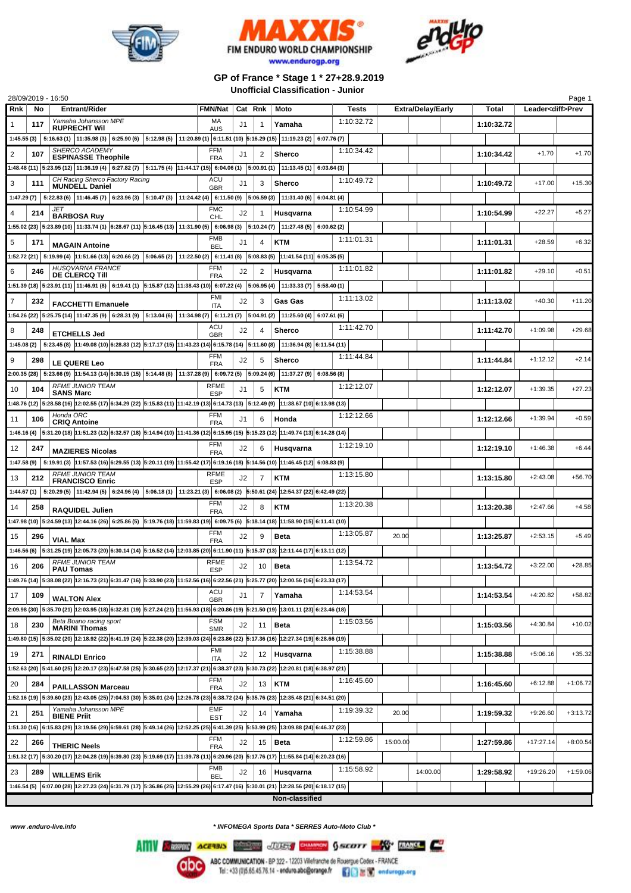





## **GP of France \* Stage 1 \* 27+28.9.2019 Unofficial Classification - Junior**

| 28/09/2019 - 16:50                                                                                                                                                                          |                           |         |                |                |              |          |                          |  |            |                          | Page 1     |
|---------------------------------------------------------------------------------------------------------------------------------------------------------------------------------------------|---------------------------|---------|----------------|----------------|--------------|----------|--------------------------|--|------------|--------------------------|------------|
| Rnk<br><b>Entrant/Rider</b><br>No                                                                                                                                                           | FMN/Nat                   | Cat Rnk |                | Moto           | <b>Tests</b> |          | <b>Extra/Delay/Early</b> |  | Total      | Leader <diff>Prev</diff> |            |
| Yamaha Johansson MPE<br>1<br>117                                                                                                                                                            | МA                        | J1      | $\overline{1}$ | Yamaha         | 1:10:32.72   |          |                          |  | 1:10:32.72 |                          |            |
| <b>RUPRECHT WIL</b>                                                                                                                                                                         | <b>AUS</b>                |         |                |                |              |          |                          |  |            |                          |            |
| 1:45.55 (3) $\mid$ 5:16.63 (1) $\mid$ 11:35.98 (3) $\mid$ 6:25.90 (6) $\mid$ 5:12.98 (5) $\mid$ 11:20.89 (1) $\mid$ 6:11.51 (10) $\mid$ 5:16.29 (15) $\mid$ 11:19.23 (2) $\mid$ 6:07.76 (7) |                           |         |                |                |              |          |                          |  |            |                          |            |
| SHERCO ACADEMY<br>2<br>107<br><b>ESPINASSE Theophile</b>                                                                                                                                    | <b>FFM</b><br><b>FRA</b>  | J1      | 2              | <b>Sherco</b>  | 1:10:34.42   |          |                          |  | 1:10:34.42 | $+1.70$                  | $+1.70$    |
| 1:48.48 (11)  5:23.95 (12)  11:36.19 (4)   6:27.82 (7)   5:11.75 (4)  11:44.17 (15)  6:04.06 (1)   5:00.91 (1)   11:13.45 (1)   6:03.64 (3)                                                 |                           |         |                |                |              |          |                          |  |            |                          |            |
| CH Racing Sherco Factory Racing                                                                                                                                                             | ACU                       |         |                |                | 1:10:49.72   |          |                          |  |            |                          |            |
| 3<br>111<br><b>MUNDELL Daniel</b>                                                                                                                                                           | <b>GBR</b>                | J1      | 3              | <b>Sherco</b>  |              |          |                          |  | 1:10:49.72 | $+17.00$                 | $+15.30$   |
| 1:47.29 (7) $\mid$ 5:22.83 (6) $\mid$ 11:46.45 (7) $\mid$ 6:23.96 (3) $\mid$ 5:10.47 (3) $\mid$ 11:24.42 (4) $\mid$ 6:11.50 (9) $\mid$ 5:06.59 (3) $\mid$ 11:31.40 (6) $\mid$ 6:04.81 (4)   |                           |         |                |                |              |          |                          |  |            |                          |            |
| JET<br>4<br>214                                                                                                                                                                             | <b>FMC</b>                | J2      |                | Husqvarna      | 1:10:54.99   |          |                          |  | 1:10:54.99 | $+22.27$                 | $+5.27$    |
| <b>BARBOSA Ruy</b><br>1:55.02 (23) 5:23.89 (10) 11:33.74 (1) 6:28.67 (11) 5:16.45 (13) 11:31.90 (5) $ $ 6:06.98 (3) $ $ 5:10.24 (7) $ $ 11:27.48 (5) $ $ 6:00.62 (2)                        | <b>CHL</b>                |         |                |                |              |          |                          |  |            |                          |            |
|                                                                                                                                                                                             |                           |         |                |                |              |          |                          |  |            |                          |            |
| 5<br>171<br><b>MAGAIN Antoine</b>                                                                                                                                                           | FMB<br><b>BEL</b>         | J1      | 4              | <b>KTM</b>     | 1:11:01.31   |          |                          |  | 1:11:01.31 | $+28.59$                 | $+6.32$    |
| 1:52.72 (21) 5:19.99 (4) 11:51.66 (13) 6:20.66 (2) 5:06.65 (2) 11:22.50 (2) 6:11.41 (8) 5:08.83 (5) 11:41.54 (11) 6:05.35 (5)                                                               |                           |         |                |                |              |          |                          |  |            |                          |            |
| HUSQVARNA FRANCE                                                                                                                                                                            | <b>FFM</b>                |         |                |                | 1:11:01.82   |          |                          |  |            | $+29.10$                 | $+0.51$    |
| 6<br>246<br><b>DE CLERCQ TIII</b>                                                                                                                                                           | <b>FRA</b>                | J2      | 2              | Husqvarna      |              |          |                          |  | 1:11:01.82 |                          |            |
| 1:51.39 (18) 5:23.91 (11) 11:46.91 (8) $ $ 6:19.41 (1) $ $ 5:15.87 (12) $ $ 11:38.43 (10) $ $ 6:07.22 (4) $ $ 5:06.95 (4) $ $ 11:33.33 (7) $ $ 5:58.40 (1)                                  |                           |         |                |                |              |          |                          |  |            |                          |            |
| $\overline{7}$<br>232<br><b>FACCHETTI Emanuele</b>                                                                                                                                          | <b>FMI</b>                | J2      | 3              | Gas Gas        | 1:11:13.02   |          |                          |  | 1:11:13.02 | $+40.30$                 | $+11.20$   |
| :54.26 (22) 5:25.75 (14) 11:47.35 (9) 6:28.31 (9) 5:13.04 (6) 11:34.98 (7) 6:11.21 (7) 5:04.91 (2) 11:25.60 (4) 6:07.61 (6)                                                                 | <b>ITA</b>                |         |                |                |              |          |                          |  |            |                          |            |
|                                                                                                                                                                                             | ACU                       |         |                |                | 1:11:42.70   |          |                          |  |            |                          |            |
| 8<br>248<br><b>ETCHELLS Jed</b>                                                                                                                                                             | <b>GBR</b>                | J2      | 4              | <b>Sherco</b>  |              |          |                          |  | 1:11:42.70 | $+1:09.98$               | $+29.68$   |
| 1:45.08 (2) 5:23.45 (8) $ 11:49.08(10) $ 6:28.83 (12) 5:17.17 (15) 11:43.23 (14) 6:15.78 (14) 5:11.60 (8) 11:36.94 (8) 6:11.54 (11)                                                         |                           |         |                |                |              |          |                          |  |            |                          |            |
| 9<br>298                                                                                                                                                                                    | FFM                       | J2      | 5              | <b>Sherco</b>  | 1:11:44.84   |          |                          |  | 1:11:44.84 | $+1:12.12$               | $+2.14$    |
| LE QUERE Leo                                                                                                                                                                                | <b>FRA</b>                |         |                |                |              |          |                          |  |            |                          |            |
| 2:00.35 (28) 5:23.66 (9) 11:54.13 (14) 6:30.15 (15) 5:14.48 (8) 11:37.28 (9) 5:09.72 (5) 5:09.24 (6) 11:37.27 (9) 6:08.56 (8)                                                               |                           |         |                |                |              |          |                          |  |            |                          |            |
| <b>RFME JUNIOR TEAM</b><br>10<br>104<br><b>SANS Marc</b>                                                                                                                                    | <b>RFME</b><br><b>ESP</b> | J1      | 5              | <b>KTM</b>     | 1:12:12.07   |          |                          |  | 1:12:12.07 | $+1:39.35$               | $+27.23$   |
| :48.76 (12) 5:28.58 (16) 12:02.55 (17) 6:34.29 (22) 5:15.83 (11) 11:42.19 (13) 6:14.73 (13) 5:12.49 (9) 11:38.67 (10) 6:13.98 (13)                                                          |                           |         |                |                |              |          |                          |  |            |                          |            |
| Honda ORC                                                                                                                                                                                   | FFM                       |         |                |                | 1:12:12.66   |          |                          |  |            | $+1:39.94$               | $+0.59$    |
| 106<br>11<br><b>CRIQ Antoine</b>                                                                                                                                                            | <b>FRA</b>                | J1      | 6              | Honda          |              |          |                          |  | 1:12:12.66 |                          |            |
| 1:46.16 (4) 5:31.20 (18) 11:51.23 (12) 6:32.57 (18) 5:14.94 (10) 11:41.36 (12) 6:15.95 (15) 5:15.23 (12) 11:49.74 (13) 6:14.28 (14)                                                         |                           |         |                |                |              |          |                          |  |            |                          |            |
| 12<br>247<br><b>MAZIERES Nicolas</b>                                                                                                                                                        | <b>FFM</b><br><b>FRA</b>  | J2      | 6              | Husqvarna      | 1:12:19.10   |          |                          |  | 1:12:19.10 | $+1:46.38$               | $+6.44$    |
| 1:47.58 (9) 5:19.91 (3) 11:57.53 (16) 6:29.55 (13) 5:20.11 (19) 11:55.42 (17) 6:19.16 (18) 5:14.56 (10) 11:46.45 (12) 6:08.83 (9)                                                           |                           |         |                |                |              |          |                          |  |            |                          |            |
| <b>RFME JUNIOR TEAM</b>                                                                                                                                                                     | RFME                      |         |                |                | 1:13:15.80   |          |                          |  |            |                          |            |
| 212<br>13<br><b>FRANCISCO Enric</b>                                                                                                                                                         | <b>ESP</b>                | J2      | 7              | <b>KTM</b>     |              |          |                          |  | 1:13:15.80 | $+2:43.08$               | $+56.70$   |
| 1:44.67 (1) 5:20.29 (5) 11:42.94 (5) 6:24.96 (4) 5:06.18 (1) 11:23.21 (3) 6:06.08 (2) 5:50.61 (24) 12:54.37 (22) 6:42.49 (22)                                                               |                           |         |                |                |              |          |                          |  |            |                          |            |
| 14<br>258<br><b>RAQUIDEL Julien</b>                                                                                                                                                         | <b>FFM</b>                | J2      | 8              | <b>KTM</b>     | 1:13:20.38   |          |                          |  | 1:13:20.38 | $+2:47.66$               | $+4.58$    |
| 1:47.98 (10) 5:24.59 (13) 12:44.16 (26) 6:25.86 (5) 5:19.76 (18) 11:59.83 (19) 6:09.75 (6) 5:18.14 (18) 11:58.90 (15) 6:11.41 (10)                                                          | <b>FRA</b>                |         |                |                |              |          |                          |  |            |                          |            |
|                                                                                                                                                                                             | FFM                       |         |                |                |              |          |                          |  |            |                          |            |
| 15<br>296<br><b>VIAL Max</b>                                                                                                                                                                | <b>FRA</b>                | J2      | 9              | <b>Beta</b>    | 1:13:05.87   | 20.00    |                          |  | 1:13:25.87 | $+2:53.15$               | $+5.49$    |
| 1:46.56 (6) 5:31.25 (19) 12:05.73 (20) 6:30.14 (14) 5:16.52 (14) 12:03.85 (20) 6:11.90 (11) 5:15.37 (13) 12:11.44 (17) 6:13.11 (12)                                                         |                           |         |                |                |              |          |                          |  |            |                          |            |
| <b>RFME JUNIOR TEAM</b><br>206<br>16                                                                                                                                                        | <b>RFME</b>               | J2      |                | $10$ Beta      | 1:13:54.72   |          |                          |  | 1:13:54.72 | $+3:22.00$               | $+28.85$   |
| <b>PAU Tomas</b>                                                                                                                                                                            | <b>ESP</b>                |         |                |                |              |          |                          |  |            |                          |            |
| 1:49.76 (14) 5:38.08 (22) 12:16.73 (21) 6:31.47 (16) 5:33.90 (23) 11:52.56 (16) 6:22.56 (21) 5:25.77 (20) 12:00.56 (16) 6:23.33 (17)                                                        |                           |         |                |                |              |          |                          |  |            |                          |            |
| 17<br>109<br><b>WALTON Alex</b>                                                                                                                                                             | ACU<br><b>GBR</b>         | J1      | 7              | Yamaha         | 1:14:53.54   |          |                          |  | 1:14:53.54 | $+4:20.82$               | $+58.82$   |
| 2:09.98 (30) 5:35.70 (21) 12:03.95 (18) 6:32.81 (19) 5:27.24 (21) 11:56.93 (18) 6:20.86 (19) 5:21.50 (19) 13:01.11 (23) 6:23.46 (18)                                                        |                           |         |                |                |              |          |                          |  |            |                          |            |
| Beta Boano racing sport                                                                                                                                                                     | <b>FSM</b>                |         |                |                | 1:15:03.56   |          |                          |  |            |                          | $+10.02$   |
| 18<br>230<br><b>MARINI Thomas</b>                                                                                                                                                           | <b>SMR</b>                | J2      | 11             | <b>Beta</b>    |              |          |                          |  | 1:15:03.56 | $+4:30.84$               |            |
| 1:49.80 (15) 5:35.02 (20) 12:18.92 (22) 6:41.19 (24) 5:22.38 (20) 12:39.03 (24) 6:23.86 (22) 5:17.36 (16) 12:27.34 (19) 6:28.66 (19)                                                        |                           |         |                |                |              |          |                          |  |            |                          |            |
| 19<br>271<br><b>RINALDI Enrico</b>                                                                                                                                                          | <b>FMI</b><br><b>ITA</b>  | J2      |                | 12 Husqvarna   | 1:15:38.88   |          |                          |  | 1:15:38.88 | $+5:06.16$               | $+35.32$   |
| 1:52.63 (20) 5:41.60 (25) 12:20.17 (23) 6:47.58 (25) 5:30.65 (22) 12:17.37 (21) 6:38.37 (23) 5:30.73 (22) 12:20.81 (18) 6:38.97 (21)                                                        |                           |         |                |                |              |          |                          |  |            |                          |            |
|                                                                                                                                                                                             | FFM                       |         |                |                | 1:16:45.60   |          |                          |  |            |                          |            |
| 20<br>284<br><b>PAILLASSON Marceau</b>                                                                                                                                                      | <b>FRA</b>                | J2      | 13             | <b>KTM</b>     |              |          |                          |  | 1:16:45.60 | $+6:12.88$               | $+1:06.72$ |
| 1:52.16 (19) 5:39.60 (23) 12:43.05 (25) 7:04.53 (30) 5:35.01 (24) 12:26.78 (23) 6:38.72 (24) 5:35.76 (23) 12:35.48 (21) 6:34.51 (20)                                                        |                           |         |                |                |              |          |                          |  |            |                          |            |
| Yamaha Johansson MPE<br>251<br>21                                                                                                                                                           | EMF                       | J2      | 14             | Yamaha         | 1:19:39.32   | 20.00    |                          |  | 1:19:59.32 | $+9:26.60$               | $+3:13.72$ |
| <b>BIENE Priit</b><br>:51.30 (16) 6:15.83 (29) 13:19.56 (29) 6:59.61 (28) 5:49.14 (26) 12:52.25 (25) 6:41.39 (25) 5:53.99 (25) 13:09.88 (24) 6:46.37 (23)                                   | <b>EST</b>                |         |                |                |              |          |                          |  |            |                          |            |
|                                                                                                                                                                                             | FFM                       |         |                |                |              |          |                          |  |            |                          |            |
| 22<br>266<br><b>THERIC Neels</b>                                                                                                                                                            | <b>FRA</b>                | J2      | 15             | <b>Beta</b>    | 1:12:59.86   | 15:00.00 |                          |  | 1:27:59.86 | $+17:27.14$              | $+8:00.54$ |
| 1:51.32 (17) 5:30.20 (17) 12:04.28 (19) 6:39.80 (23) 5:19.69 (17) 11:39.78 (11) 6:20.96 (20) 5:17.76 (17) 11:55.84 (14) 6:20.23 (16)                                                        |                           |         |                |                |              |          |                          |  |            |                          |            |
| 23<br>289                                                                                                                                                                                   | <b>FMB</b>                | J2      |                | 16 Husqvarna   | 1:15:58.92   |          | 14:00.00                 |  | 1:29:58.92 | $+19:26.20$              | $+1:59.06$ |
| <b>WILLEMS Erik</b>                                                                                                                                                                         | <b>BEL</b>                |         |                |                |              |          |                          |  |            |                          |            |
| 1:46.54 (5) 6:07.00 (28) 12:27.23 (24) 6:31.79 (17) 5:36.86 (25) 12:55.29 (26) 6:17.47 (16) 5:30.01 (21) 12:28.56 (20) 6:18.17 (15)                                                         |                           |         |                |                |              |          |                          |  |            |                          |            |
|                                                                                                                                                                                             |                           |         |                | Non-classified |              |          |                          |  |            |                          |            |

*www .enduro-live.info \* INFOMEGA Sports Data \* SERRES Auto-Moto Club \**

Alliv Change Access Manager JUSS CHANGE GALLERY TRANSCE